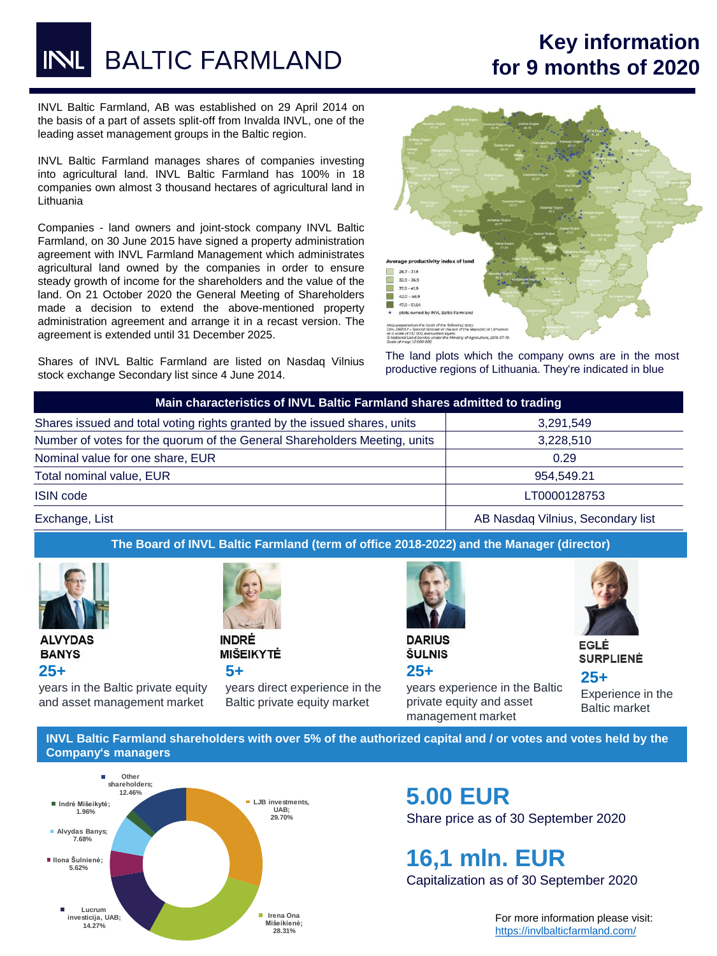**BALTIC FARMLAND** 

## **Key information for 9 months of 2020**

INVL Baltic Farmland, AB was established on 29 April 2014 on the basis of a part of assets split-off from Invalda INVL, one of the leading asset management groups in the Baltic region.

INVL Baltic Farmland manages shares of companies investing into agricultural land. INVL Baltic Farmland has 100% in 18 companies own almost 3 thousand hectares of agricultural land in Lithuania

Companies - land owners and joint-stock company INVL Baltic Farmland, on 30 June 2015 have signed a property administration agreement with INVL Farmland Management which administrates agricultural land owned by the companies in order to ensure steady growth of income for the shareholders and the value of the land. On 21 October 2020 the General Meeting of Shareholders made a decision to extend the above-mentioned property administration agreement and arrange it in a recast version. The agreement is extended until 31 December 2025.

Shares of INVL Baltic Farmland are listed on Nasdaq Vilnius stock exchange Secondary list since 4 June 2014.



The land plots which the company owns are in the most productive regions of Lithuania. They're indicated in blue

| Main characteristics of INVL Baltic Farmland shares admitted to trading   |                                   |  |  |
|---------------------------------------------------------------------------|-----------------------------------|--|--|
| Shares issued and total voting rights granted by the issued shares, units | 3.291.549                         |  |  |
| Number of votes for the quorum of the General Shareholders Meeting, units | 3,228,510                         |  |  |
| Nominal value for one share, EUR                                          | 0.29                              |  |  |
| Total nominal value, EUR                                                  | 954.549.21                        |  |  |
| <b>ISIN</b> code                                                          | LT0000128753                      |  |  |
| Exchange, List                                                            | AB Nasdag Vilnius, Secondary list |  |  |

**The Board of INVL Baltic Farmland (term of office 2018-2022) and the Manager (director)**



**ALVYDAS BANYS 25+** 



**MIŠEIKYTĖ 5+** 

years in the Baltic private equity and asset management market

years direct experience in the Baltic private equity market



**DARIUS ŠULNIS 25+** 

years experience in the Baltic private equity and asset management market



**EGLĖ SURPLIENĖ** 

**25+**  Experience in the Baltic market

**INVL Baltic Farmland shareholders with over 5% of the authorized capital and / or votes and votes held by the Company's managers**



## **5.00 EUR** Share price as of 30 September 2020

**16,1 mln. EUR** Capitalization as of 30 September 2020

> For more information please visit: <https://invlbalticfarmland.com/>